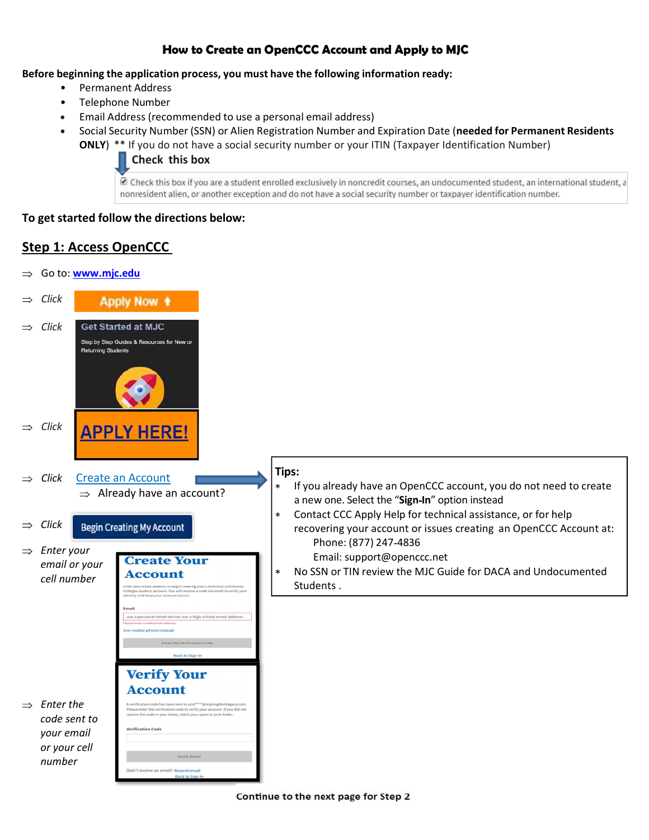# How to Create an OpenCCC Account and Apply to MJC

Before beginning the application process, you must have the following information ready:

- Permanent Address
- Telephone Number
- Email Address (recommended to use a personal email address)  $\bullet$
- Social Security Number (SSN) or Alien Registration Number and Expiration Date (needed for Permanent Residents  $\bullet$ 
	- ONLY) \*\* If you do not have a social security number or your ITIN (Taxpayer Identification Number)

Check this box

Check this box if you are a student enrolled exclusively in noncredit courses, an undocumented student, an international student, a nonresident alien, or another exception and do not have a social security number or taxpayer identification number.

## To get started follow the directions below:

# Step 1: Access OpenCCC

 $\Rightarrow$  Go to: www.mjc.edu  $\Rightarrow$  Click **Apply Now +**  $\Rightarrow$  Click **Get Started at MJC** Step by Step Guides & Resources for New or **Returning Students**  $\Rightarrow$  Click **APPLY HERE!** Tips: Click Create an Account If you already have an OpenCCC account, you do not need to create  $\ast$  $\Rightarrow$  Already have an account? a new one. Select the "Sign-In" option instead  $\star$ Contact CCC Apply Help for technical assistance, or for help Click **Begin Creating My Account** recovering your account or issues creating an OpenCCC Account at: Phone: (877) 247 4836  $\Rightarrow$  Enter your Email: support@openccc.net **Create Your** email or your  $\ast$ No SSN or TIN review the MJC Guide for DACA and Undocumented **Account** cell number Students .sonal email-do not use a high school email address ise a pe Email My Verification Code **Verify Your Account**  $\Rightarrow$  Enter the er the verification code to verify your account.<br>code in your inbox, check your spam or junk int. If you did not code sent to erification Code your email or your cell Verify Emai number Didn't receive an email? Resend email